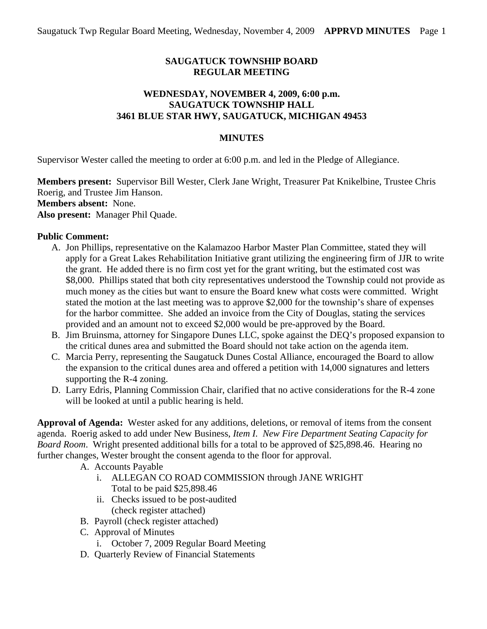# **SAUGATUCK TOWNSHIP BOARD REGULAR MEETING**

## **WEDNESDAY, NOVEMBER 4, 2009, 6:00 p.m. SAUGATUCK TOWNSHIP HALL 3461 BLUE STAR HWY, SAUGATUCK, MICHIGAN 49453**

## **MINUTES**

Supervisor Wester called the meeting to order at 6:00 p.m. and led in the Pledge of Allegiance.

**Members present:** Supervisor Bill Wester, Clerk Jane Wright, Treasurer Pat Knikelbine, Trustee Chris Roerig, and Trustee Jim Hanson. **Members absent:** None. **Also present:** Manager Phil Quade.

#### **Public Comment:**

- A. Jon Phillips, representative on the Kalamazoo Harbor Master Plan Committee, stated they will apply for a Great Lakes Rehabilitation Initiative grant utilizing the engineering firm of JJR to write the grant. He added there is no firm cost yet for the grant writing, but the estimated cost was \$8,000. Phillips stated that both city representatives understood the Township could not provide as much money as the cities but want to ensure the Board knew what costs were committed. Wright stated the motion at the last meeting was to approve \$2,000 for the township's share of expenses for the harbor committee. She added an invoice from the City of Douglas, stating the services provided and an amount not to exceed \$2,000 would be pre-approved by the Board.
- B. Jim Bruinsma, attorney for Singapore Dunes LLC, spoke against the DEQ's proposed expansion to the critical dunes area and submitted the Board should not take action on the agenda item.
- C. Marcia Perry, representing the Saugatuck Dunes Costal Alliance, encouraged the Board to allow the expansion to the critical dunes area and offered a petition with 14,000 signatures and letters supporting the R-4 zoning.
- D. Larry Edris, Planning Commission Chair, clarified that no active considerations for the R-4 zone will be looked at until a public hearing is held.

**Approval of Agenda:** Wester asked for any additions, deletions, or removal of items from the consent agenda. Roerig asked to add under New Business, *Item I. New Fire Department Seating Capacity for Board Room*. Wright presented additional bills for a total to be approved of \$25,898.46. Hearing no further changes, Wester brought the consent agenda to the floor for approval.

- A. Accounts Payable
	- i. ALLEGAN CO ROAD COMMISSION through JANE WRIGHT Total to be paid \$25,898.46
	- ii. Checks issued to be post-audited (check register attached)
- B. Payroll (check register attached)
- C. Approval of Minutes
	- i. October 7, 2009 Regular Board Meeting
- D. Quarterly Review of Financial Statements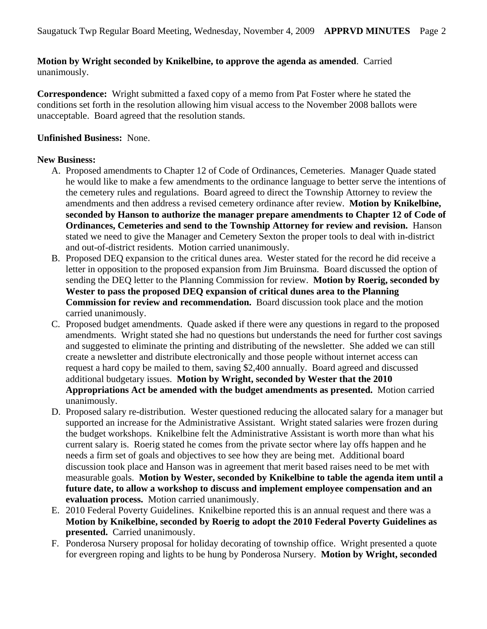# **Motion by Wright seconded by Knikelbine, to approve the agenda as amended**. Carried unanimously.

**Correspondence:** Wright submitted a faxed copy of a memo from Pat Foster where he stated the conditions set forth in the resolution allowing him visual access to the November 2008 ballots were unacceptable. Board agreed that the resolution stands.

## **Unfinished Business:** None.

## **New Business:**

- A. Proposed amendments to Chapter 12 of Code of Ordinances, Cemeteries. Manager Quade stated he would like to make a few amendments to the ordinance language to better serve the intentions of the cemetery rules and regulations. Board agreed to direct the Township Attorney to review the amendments and then address a revised cemetery ordinance after review. **Motion by Knikelbine, seconded by Hanson to authorize the manager prepare amendments to Chapter 12 of Code of Ordinances, Cemeteries and send to the Township Attorney for review and revision.** Hanson stated we need to give the Manager and Cemetery Sexton the proper tools to deal with in-district and out-of-district residents. Motion carried unanimously.
- B. Proposed DEQ expansion to the critical dunes area. Wester stated for the record he did receive a letter in opposition to the proposed expansion from Jim Bruinsma. Board discussed the option of sending the DEQ letter to the Planning Commission for review. **Motion by Roerig, seconded by Wester to pass the proposed DEQ expansion of critical dunes area to the Planning Commission for review and recommendation.** Board discussion took place and the motion carried unanimously.
- C. Proposed budget amendments. Quade asked if there were any questions in regard to the proposed amendments. Wright stated she had no questions but understands the need for further cost savings and suggested to eliminate the printing and distributing of the newsletter. She added we can still create a newsletter and distribute electronically and those people without internet access can request a hard copy be mailed to them, saving \$2,400 annually. Board agreed and discussed additional budgetary issues. **Motion by Wright, seconded by Wester that the 2010 Appropriations Act be amended with the budget amendments as presented.** Motion carried unanimously.
- D. Proposed salary re-distribution. Wester questioned reducing the allocated salary for a manager but supported an increase for the Administrative Assistant. Wright stated salaries were frozen during the budget workshops. Knikelbine felt the Administrative Assistant is worth more than what his current salary is. Roerig stated he comes from the private sector where lay offs happen and he needs a firm set of goals and objectives to see how they are being met. Additional board discussion took place and Hanson was in agreement that merit based raises need to be met with measurable goals. **Motion by Wester, seconded by Knikelbine to table the agenda item until a future date, to allow a workshop to discuss and implement employee compensation and an evaluation process.** Motion carried unanimously.
- E. 2010 Federal Poverty Guidelines. Knikelbine reported this is an annual request and there was a **Motion by Knikelbine, seconded by Roerig to adopt the 2010 Federal Poverty Guidelines as presented.** Carried unanimously.
- F. Ponderosa Nursery proposal for holiday decorating of township office. Wright presented a quote for evergreen roping and lights to be hung by Ponderosa Nursery. **Motion by Wright, seconded**